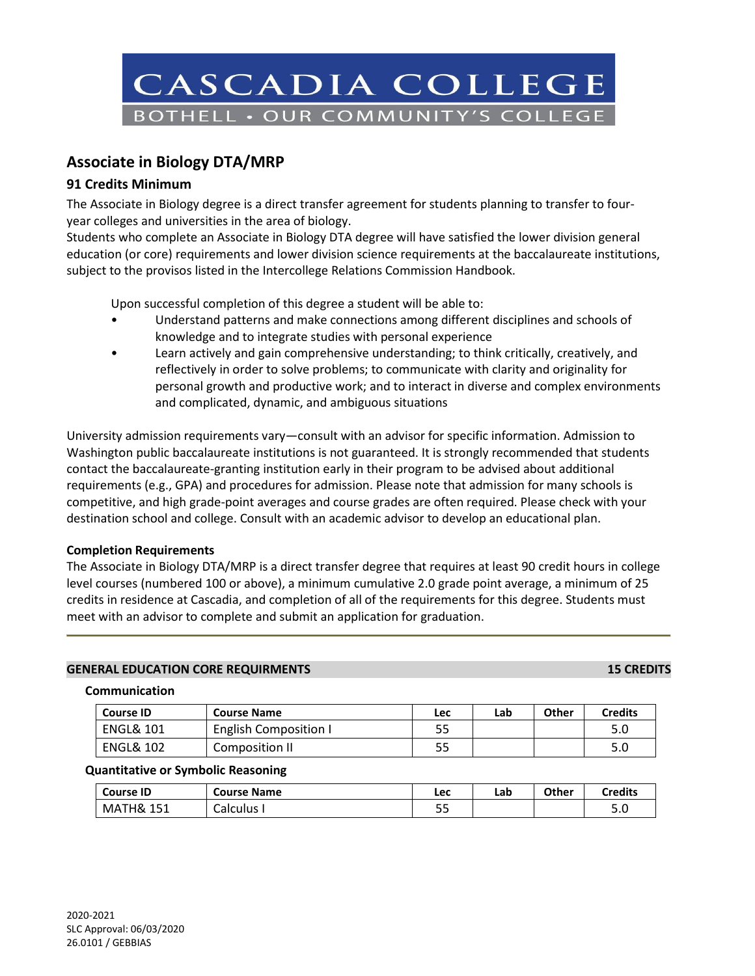

# **Associate in Biology DTA/MRP**

## **91 Credits Minimum**

The Associate in Biology degree is a direct transfer agreement for students planning to transfer to fouryear colleges and universities in the area of biology.

Students who complete an Associate in Biology DTA degree will have satisfied the lower division general education (or core) requirements and lower division science requirements at the baccalaureate institutions, subject to the provisos listed in the Intercollege Relations Commission Handbook.

Upon successful completion of this degree a student will be able to:

- Understand patterns and make connections among different disciplines and schools of knowledge and to integrate studies with personal experience
- Learn actively and gain comprehensive understanding; to think critically, creatively, and reflectively in order to solve problems; to communicate with clarity and originality for personal growth and productive work; and to interact in diverse and complex environments and complicated, dynamic, and ambiguous situations

University admission requirements vary—consult with an advisor for specific information. Admission to Washington public baccalaureate institutions is not guaranteed. It is strongly recommended that students contact the baccalaureate-granting institution early in their program to be advised about additional requirements (e.g., GPA) and procedures for admission. Please note that admission for many schools is competitive, and high grade-point averages and course grades are often required. Please check with your destination school and college. Consult with an academic advisor to develop an educational plan.

### **Completion Requirements**

The Associate in Biology DTA/MRP is a direct transfer degree that requires at least 90 credit hours in college level courses (numbered 100 or above), a minimum cumulative 2.0 grade point average, a minimum of 25 credits in residence at Cascadia, and completion of all of the requirements for this degree. Students must meet with an advisor to complete and submit an application for graduation.

### **GENERAL EDUCATION CORE REQUIRMENTS 15 CREDITS**

### **Communication**

| <b>Course ID</b>     | <b>Course Name</b>           | Lec | Lab | Other | <b>Credits</b> |
|----------------------|------------------------------|-----|-----|-------|----------------|
| <b>ENGL&amp; 101</b> | <b>English Composition I</b> | 55  |     |       | 5.0            |
| <b>ENGL&amp; 102</b> | Composition II               | 55  |     |       | 5.0            |

### **Quantitative or Symbolic Reasoning**

| <b>Course ID</b>           | <b>Course Name</b> | Lec      | Lab | Other | <b>Credits</b> |
|----------------------------|--------------------|----------|-----|-------|----------------|
| ้ H&<br>MAT'<br>151<br>ᆂᆚᆂ | <b>Calculus</b>    | 55<br>-- |     |       | r c<br>J.U     |